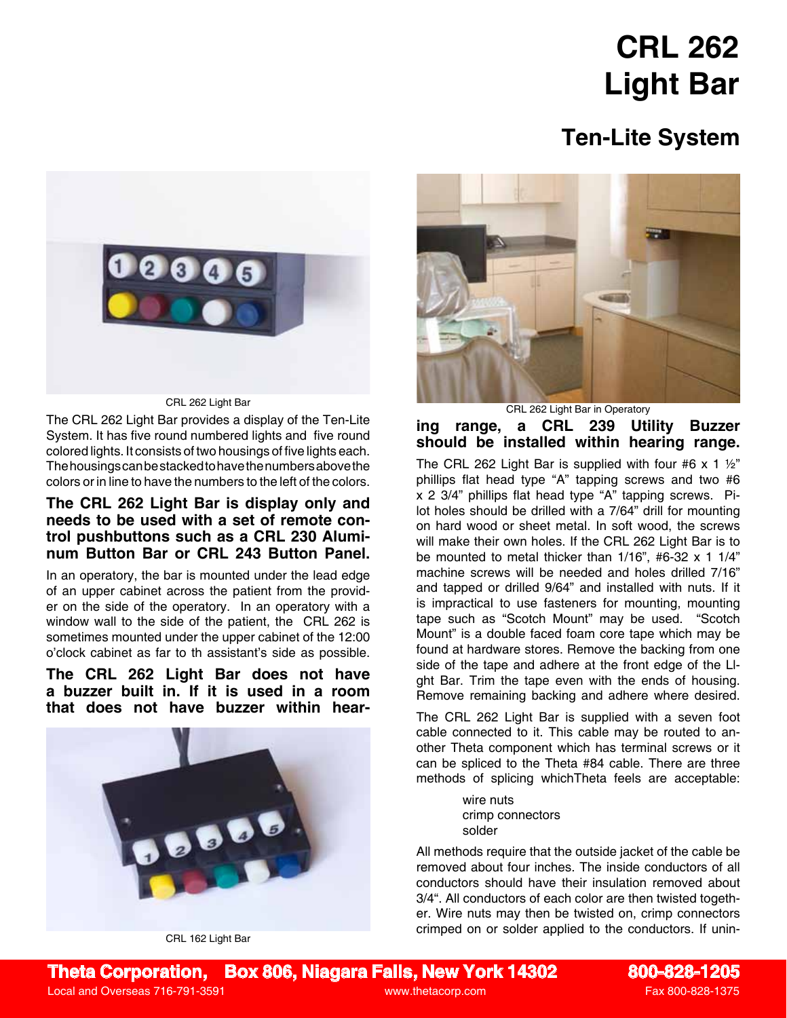## **CRL 262 Light Bar**

## **Ten-Lite System**



CRL 262 Light Bar

The CRL 262 Light Bar provides a display of the Ten-Lite System. It has five round numbered lights and five round colored lights. It consists of two housings of five lights each. The housings can be stacked to have the numbers above the colors or in line to have the numbers to the left of the colors.

## **The CRL 262 Light Bar is display only and needs to be used with a set of remote control pushbuttons such as a CRL 230 Aluminum Button Bar or CRL 243 Button Panel.**

In an operatory, the bar is mounted under the lead edge of an upper cabinet across the patient from the provider on the side of the operatory. In an operatory with a window wall to the side of the patient, the CRL 262 is sometimes mounted under the upper cabinet of the 12:00 o'clock cabinet as far to th assistant's side as possible.

**The CRL 262 Light Bar does not have a buzzer built in. If it is used in a room that does not have buzzer within hear-**



CRL 162 Light Bar



CRL 262 Light Bar in Operatory

**ing range, a CRL 239 Utility Buzzer should be installed within hearing range.**

The CRL 262 Light Bar is supplied with four #6 x 1  $\frac{1}{2}$ " phillips flat head type "A" tapping screws and two #6 x 2 3/4" phillips flat head type "A" tapping screws. Pilot holes should be drilled with a 7/64" drill for mounting on hard wood or sheet metal. In soft wood, the screws will make their own holes. If the CRL 262 Light Bar is to be mounted to metal thicker than  $1/16$ ", #6-32 x 1  $1/4$ " machine screws will be needed and holes drilled 7/16" and tapped or drilled 9/64" and installed with nuts. If it is impractical to use fasteners for mounting, mounting tape such as "Scotch Mount" may be used. "Scotch Mount" is a double faced foam core tape which may be found at hardware stores. Remove the backing from one side of the tape and adhere at the front edge of the Llght Bar. Trim the tape even with the ends of housing. Remove remaining backing and adhere where desired.

The CRL 262 Light Bar is supplied with a seven foot cable connected to it. This cable may be routed to another Theta component which has terminal screws or it can be spliced to the Theta #84 cable. There are three methods of splicing whichTheta feels are acceptable:

> wire nuts crimp connectors solder

All methods require that the outside jacket of the cable be removed about four inches. The inside conductors of all conductors should have their insulation removed about 3/4". All conductors of each color are then twisted together. Wire nuts may then be twisted on, crimp connectors crimped on or solder applied to the conductors. If unin-

**Theta Corporation, Box 806, Niagara Falls, New York 14302 800-828-1205** Local and Overseas 716-791-3591 and Controller and Controller and Controller and Controller and Controller and Controller and Controller and Controller and Controller and Controller and Controller and Controller and Contro